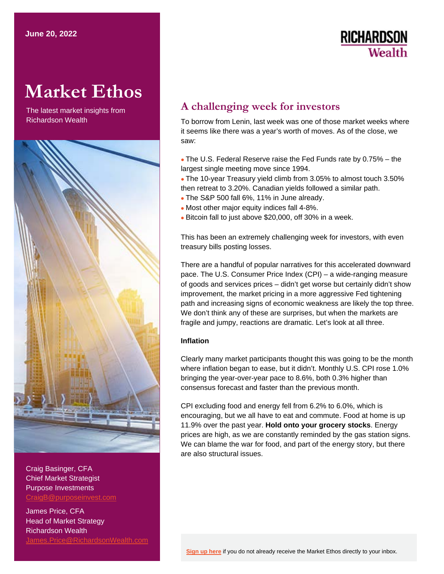# **Market Ethos**

The latest market insights from Richardson Wealth



Craig Basinger, CFA Chief Market Strategist Purpose Investments [CraigB@purposeinvest.com](mailto:CraigB@purposeinvest.com)

James Price, CFA Head of Market Strategy Richardson Wealth [James.Price@RichardsonWealth.com](mailto:James.Price@RichardsonWealth.com)

# **RICHARDSON** Wealth

# **A challenging week for investors**

To borrow from Lenin, last week was one of those market weeks where it seems like there was a year's worth of moves. As of the close, we saw:

• The U.S. Federal Reserve raise the Fed Funds rate by 0.75% – the largest single meeting move since 1994.

• The 10-year Treasury yield climb from 3.05% to almost touch 3.50% then retreat to 3.20%. Canadian yields followed a similar path.

- The S&P 500 fall 6%, 11% in June already.
- Most other major equity indices fall 4-8%.
- Bitcoin fall to just above \$20,000, off 30% in a week.

This has been an extremely challenging week for investors, with even treasury bills posting losses.

There are a handful of popular narratives for this accelerated downward pace. The U.S. Consumer Price Index (CPI) – a wide-ranging measure of goods and services prices – didn't get worse but certainly didn't show improvement, the market pricing in a more aggressive Fed tightening path and increasing signs of economic weakness are likely the top three. We don't think any of these are surprises, but when the markets are fragile and jumpy, reactions are dramatic. Let's look at all three.

### **Inflation**

Clearly many market participants thought this was going to be the month where inflation began to ease, but it didn't. Monthly U.S. CPI rose 1.0% bringing the year-over-year pace to 8.6%, both 0.3% higher than consensus forecast and faster than the previous month.

CPI excluding food and energy fell from 6.2% to 6.0%, which is encouraging, but we all have to eat and commute. Food at home is up 11.9% over the past year. **Hold onto your grocery stocks**. Energy prices are high, as we are constantly reminded by the gas station signs. We can blame the war for food, and part of the energy story, but there are also structural issues.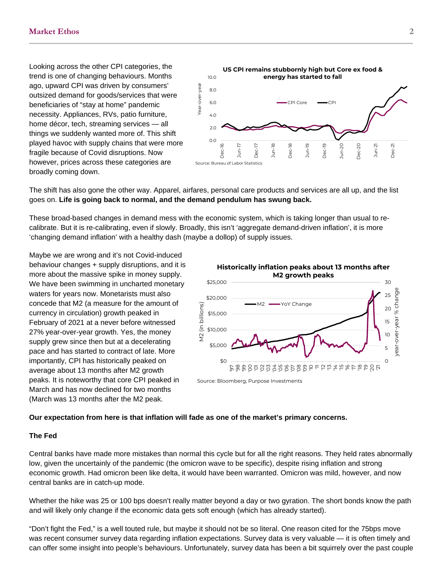Looking across the other CPI categories, the trend is one of changing behaviours. Months ago, upward CPI was driven by consumers' outsized demand for goods/services that were beneficiaries of "stay at home" pandemic necessity. Appliances, RVs, patio furniture, home décor, tech, streaming services — all things we suddenly wanted more of. This shift played havoc with supply chains that were more fragile because of Covid disruptions. Now however, prices across these categories are broadly coming down.



The shift has also gone the other way. Apparel, airfares, personal care products and services are all up, and the list goes on. **Life is going back to normal, and the demand pendulum has swung back.**

These broad-based changes in demand mess with the economic system, which is taking longer than usual to recalibrate. But it is re-calibrating, even if slowly. Broadly, this isn't 'aggregate demand-driven inflation', it is more 'changing demand inflation' with a healthy dash (maybe a dollop) of supply issues.

Maybe we are wrong and it's not Covid-induced behaviour changes + supply disruptions, and it is more about the massive spike in money supply. We have been swimming in uncharted monetary waters for years now. Monetarists must also concede that M2 (a measure for the amount of currency in circulation) growth peaked in February of 2021 at a never before witnessed 27% year-over-year growth. Yes, the money supply grew since then but at a decelerating pace and has started to contract of late. More importantly, CPI has historically peaked on average about 13 months after M2 growth peaks. It is noteworthy that core CPI peaked in March and has now declined for two months (March was 13 months after the M2 peak.



### **Our expectation from here is that inflation will fade as one of the market's primary concerns.**

### **The Fed**

Central banks have made more mistakes than normal this cycle but for all the right reasons. They held rates abnormally low, given the uncertainly of the pandemic (the omicron wave to be specific), despite rising inflation and strong economic growth. Had omicron been like delta, it would have been warranted. Omicron was mild, however, and now central banks are in catch-up mode.

Whether the hike was 25 or 100 bps doesn't really matter beyond a day or two gyration. The short bonds know the path and will likely only change if the economic data gets soft enough (which has already started).

"Don't fight the Fed," is a well touted rule, but maybe it should not be so literal. One reason cited for the 75bps move was recent consumer survey data regarding inflation expectations. Survey data is very valuable — it is often timely and can offer some insight into people's behaviours. Unfortunately, survey data has been a bit squirrely over the past couple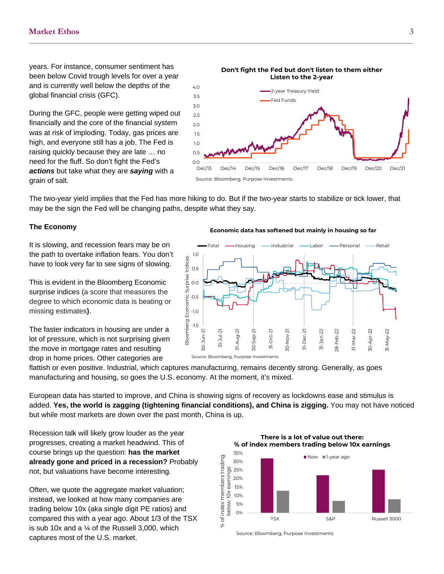years. For instance, consumer sentiment has been below Covid trough levels for over a year and is currently well below the depths of the global financial crisis (GFC).

During the GFC, people were getting wiped out financially and the core of the financial system was at risk of imploding. Today, gas prices are high, and everyone still has a job. The Fed is raising quickly because they are late … no need for the fluff. So don't fight the Fed's *actions* but take what they are *saying* with a grain of salt.

0.0 0.5 1.0 1.5 2.0  $2.5$ 3.0 3.5 4.0 Dec/13 Dec/14 Dec/15 Dec/16 Dec/17 Dec/18 Dec/19 Dec/20 Dec/21 **Listen to the 2-year** 2-year Treasury Yield Fed Funds Source: Bloomberg, Purpose Investments

**Don't fight the Fed but don't listen to them either** 

The two-year yield implies that the Fed has more hiking to do. But if the two-year starts to stabilize or tick lower, that may be the sign the Fed will be changing paths, despite what they say.

### **The Economy**

It is slowing, and recession fears may be on the path to overtake inflation fears. You don't have to look very far to see signs of slowing.

This is evident in the Bloomberg Economic surprise indices (a score that measures the degree to which economic data is beating or missing estimates**)**.

The faster indicators in housing are under a lot of pressure, which is not surprising given the move in mortgage rates and resulting drop in home prices. Other categories are

flattish or even positive. Industrial, which captures manufacturing, remains decently strong. Generally, as goes manufacturing and housing, so goes the U.S. economy. At the moment, it's mixed.

European data has started to improve, and China is showing signs of recovery as lockdowns ease and stimulus is added. **Yes, the world is zagging (tightening financial conditions), and China is zigging.** You may not have noticed but while most markets are down over the past month, China is up.

Recession talk will likely grow louder as the year progresses, creating a market headwind. This of course brings up the question: **has the market already gone and priced in a recession?** Probably not, but valuations have become interesting.

Often, we quote the aggregate market valuation; instead, we looked at how many companies are trading below 10x (aka single digit PE ratios) and compared this with a year ago. About 1/3 of the TSX is sub 10x and a ¼ of the Russell 3,000, which captures most of the U.S. market.

15% 20% 25% 30% 35% **% of index members trading below 10x earnings** Now 1-year ago

**There is a lot of value out there:** 



Source: Bloomberg, Purpose Investments

# **Economic data has softened but mainly in housing so far**

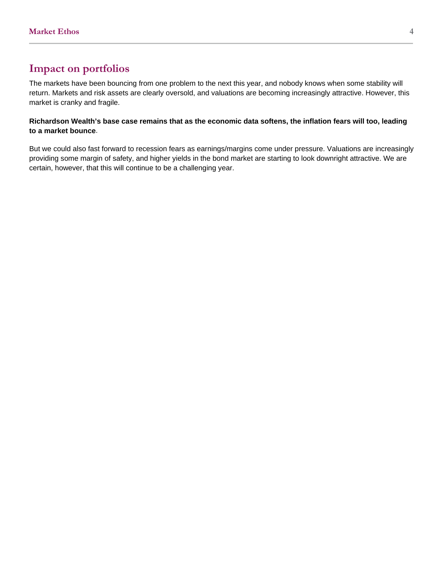## **Impact on portfolios**

The markets have been bouncing from one problem to the next this year, and nobody knows when some stability will return. Markets and risk assets are clearly oversold, and valuations are becoming increasingly attractive. However, this market is cranky and fragile.

**Richardson Wealth's base case remains that as the economic data softens, the inflation fears will too, leading to a market bounce**.

But we could also fast forward to recession fears as earnings/margins come under pressure. Valuations are increasingly providing some margin of safety, and higher yields in the bond market are starting to look downright attractive. We are certain, however, that this will continue to be a challenging year.